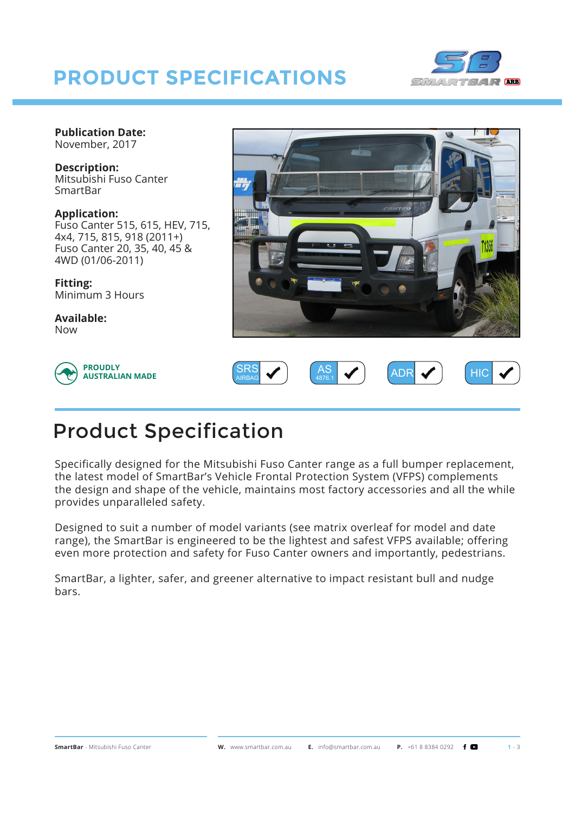## **PRODUCT SPECIFICATIONS**



**Publication Date:** November, 2017

**Description:** Mitsubishi Fuso Canter SmartBar

**Application:** Fuso Canter 515, 615, HEV, 715, 4x4, 715, 815, 918 (2011+) Fuso Canter 20, 35, 40, 45 & 4WD (01/06-2011)

**Fitting:** Minimum 3 Hours

**Available:** Now







## Product Specification

Specifically designed for the Mitsubishi Fuso Canter range as a full bumper replacement, the latest model of SmartBar's Vehicle Frontal Protection System (VFPS) complements the design and shape of the vehicle, maintains most factory accessories and all the while provides unparalleled safety.

Designed to suit a number of model variants (see matrix overleaf for model and date range), the SmartBar is engineered to be the lightest and safest VFPS available; offering even more protection and safety for Fuso Canter owners and importantly, pedestrians.

SmartBar, a lighter, safer, and greener alternative to impact resistant bull and nudge bars.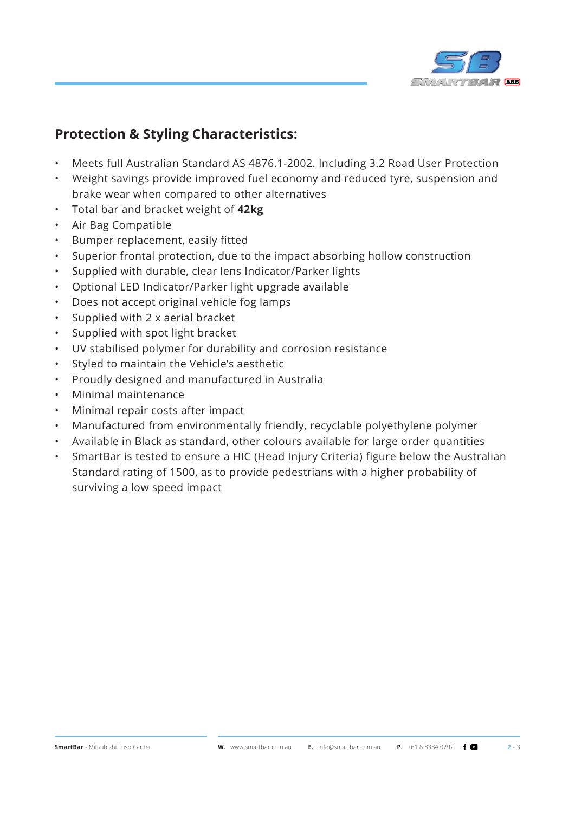

## **Protection & Styling Characteristics:**

- Meets full Australian Standard AS 4876.1-2002. Including 3.2 Road User Protection
- Weight savings provide improved fuel economy and reduced tyre, suspension and brake wear when compared to other alternatives
- Total bar and bracket weight of **42kg**
- Air Bag Compatible
- Bumper replacement, easily fitted
- Superior frontal protection, due to the impact absorbing hollow construction
- Supplied with durable, clear lens Indicator/Parker lights
- Optional LED Indicator/Parker light upgrade available
- Does not accept original vehicle fog lamps
- Supplied with 2 x aerial bracket
- Supplied with spot light bracket
- UV stabilised polymer for durability and corrosion resistance
- Styled to maintain the Vehicle's aesthetic
- Proudly designed and manufactured in Australia
- Minimal maintenance
- Minimal repair costs after impact
- Manufactured from environmentally friendly, recyclable polyethylene polymer
- Available in Black as standard, other colours available for large order quantities
- SmartBar is tested to ensure a HIC (Head Injury Criteria) figure below the Australian Standard rating of 1500, as to provide pedestrians with a higher probability of surviving a low speed impact